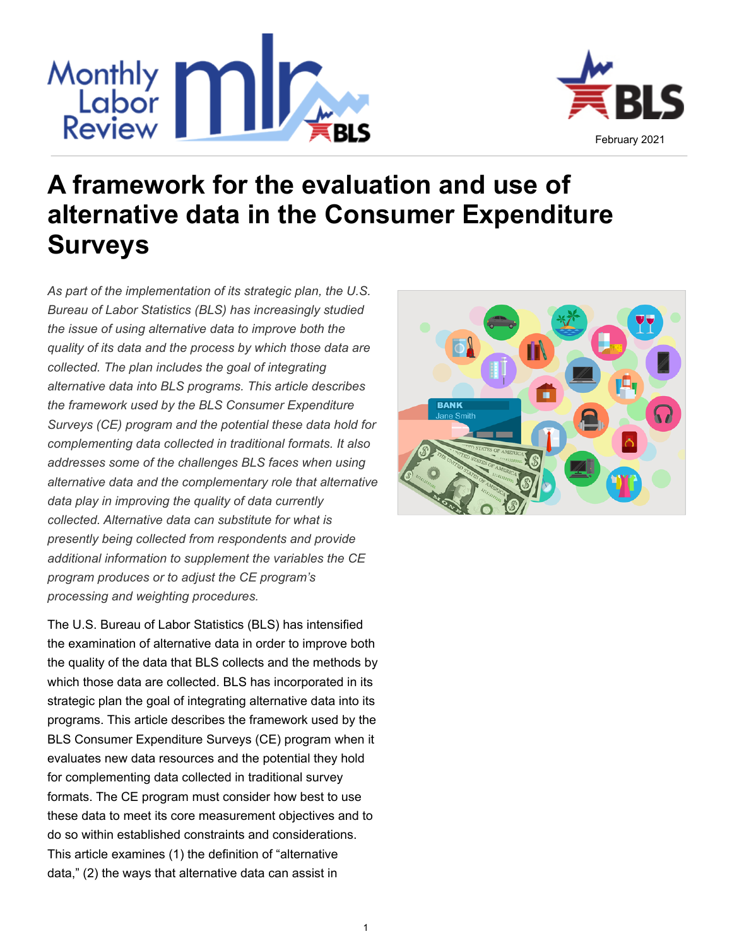

# Monthly<br>Review **1999 A framework for the evaluation and use of**



**BANK** 

*Bureau of Labor Statistics (BLS) has increasingly studied the issue of using alternative data to improve both the quality of its data and the process by which those data are collected. The plan includes the goal of integrating alternative data into BLS programs. This article describes the framework used by the BLS Consumer Expenditure Surveys (CE) program and the potential these data hold for complementing data collected in traditional formats. It also addresses some of the challenges BLS faces when using alternative data and the complementary role that alternative data play in improving the quality of data currently collected. Alternative data can substitute for what is presently being collected from respondents and provide additional information to supplement the variables the CE program produces or to adjust the CE program's processing and weighting procedures.*

*As part of the implementation of its strategic plan, the U.S.* 

**Surveys**

The U.S. Bureau of Labor Statistics (BLS) has intensified the examination of alternative data in order to improve both the quality of the data that BLS collects and the methods by which those data are collected. BLS has incorporated in its strategic plan the goal of integrating alternative data into its programs. This article describes the framework used by the BLS Consumer Expenditure Surveys (CE) program when it evaluates new data resources and the potential they hold for complementing data collected in traditional survey formats. The CE program must consider how best to use these data to meet its core measurement objectives and to do so within established constraints and considerations. This article examines (1) the definition of "alternative data," (2) the ways that alternative data can assist in



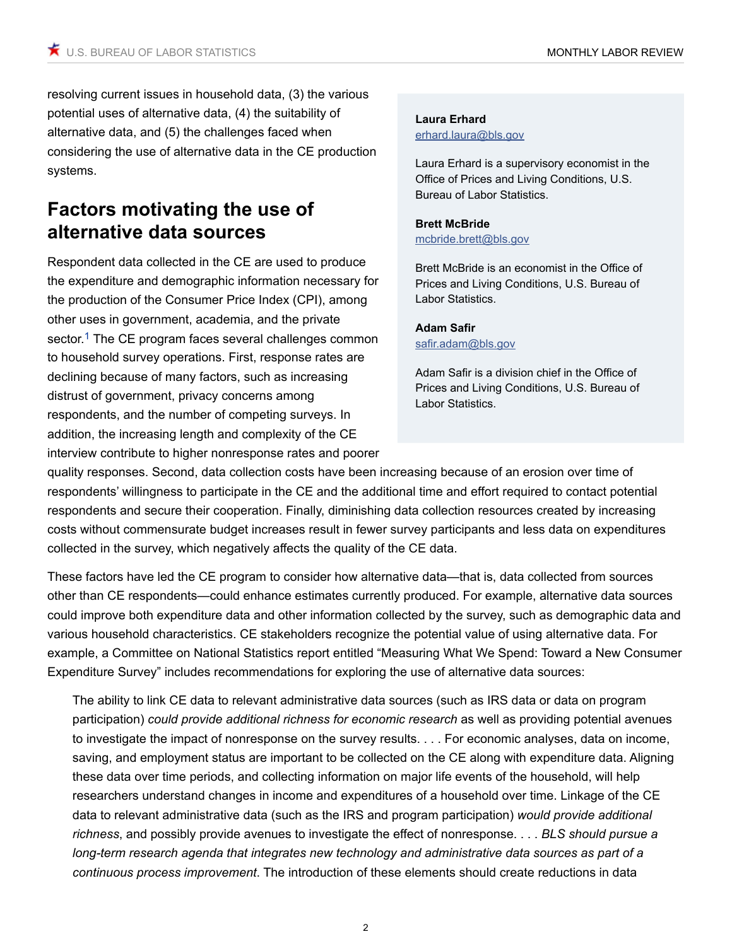resolving current issues in household data, (3) the various potential uses of alternative data, (4) the suitability of alternative data, and (5) the challenges faced when considering the use of alternative data in the CE production systems.

# **Factors motivating the use of alternative data sources**

<span id="page-1-0"></span>Respondent data collected in the CE are used to produce the expenditure and demographic information necessary for the production of the Consumer Price Index (CPI), among other uses in government, academia, and the private sector.<sup>[1](#page-8-0)</sup> The CE program faces several challenges common to household survey operations. First, response rates are declining because of many factors, such as increasing distrust of government, privacy concerns among respondents, and the number of competing surveys. In addition, the increasing length and complexity of the CE interview contribute to higher nonresponse rates and poorer

#### **[Laura Erhard](http://www.bls.gov/opub/mlr/author/erhard-laura.htm)** [erhard.laura@bls.gov](mailto:erhard.laura@bls.gov)

Laura Erhard is a supervisory economist in the Office of Prices and Living Conditions, U.S. Bureau of Labor Statistics.

#### **[Brett McBride](http://www.bls.gov/opub/mlr/author/mcbride-brett.htm)** [mcbride.brett@bls.gov](mailto:mcbride.brett@bls.gov)

Brett McBride is an economist in the Office of Prices and Living Conditions, U.S. Bureau of Labor Statistics.

#### **[Adam Safir](http://www.bls.gov/opub/mlr/author/safir-adam.htm)** [safir.adam@bls.gov](mailto:safir.adam@bls.gov)

Adam Safir is a division chief in the Office of Prices and Living Conditions, U.S. Bureau of Labor Statistics.

quality responses. Second, data collection costs have been increasing because of an erosion over time of respondents' willingness to participate in the CE and the additional time and effort required to contact potential respondents and secure their cooperation. Finally, diminishing data collection resources created by increasing costs without commensurate budget increases result in fewer survey participants and less data on expenditures collected in the survey, which negatively affects the quality of the CE data.

These factors have led the CE program to consider how alternative data—that is, data collected from sources other than CE respondents—could enhance estimates currently produced. For example, alternative data sources could improve both expenditure data and other information collected by the survey, such as demographic data and various household characteristics. CE stakeholders recognize the potential value of using alternative data. For example, a Committee on National Statistics report entitled "Measuring What We Spend: Toward a New Consumer Expenditure Survey" includes recommendations for exploring the use of alternative data sources:

The ability to link CE data to relevant administrative data sources (such as IRS data or data on program participation) *could provide additional richness for economic research* as well as providing potential avenues to investigate the impact of nonresponse on the survey results. . . . For economic analyses, data on income, saving, and employment status are important to be collected on the CE along with expenditure data. Aligning these data over time periods, and collecting information on major life events of the household, will help researchers understand changes in income and expenditures of a household over time. Linkage of the CE data to relevant administrative data (such as the IRS and program participation) *would provide additional richness*, and possibly provide avenues to investigate the effect of nonresponse. . . . *BLS should pursue a long-term research agenda that integrates new technology and administrative data sources as part of a continuous process improvement*. The introduction of these elements should create reductions in data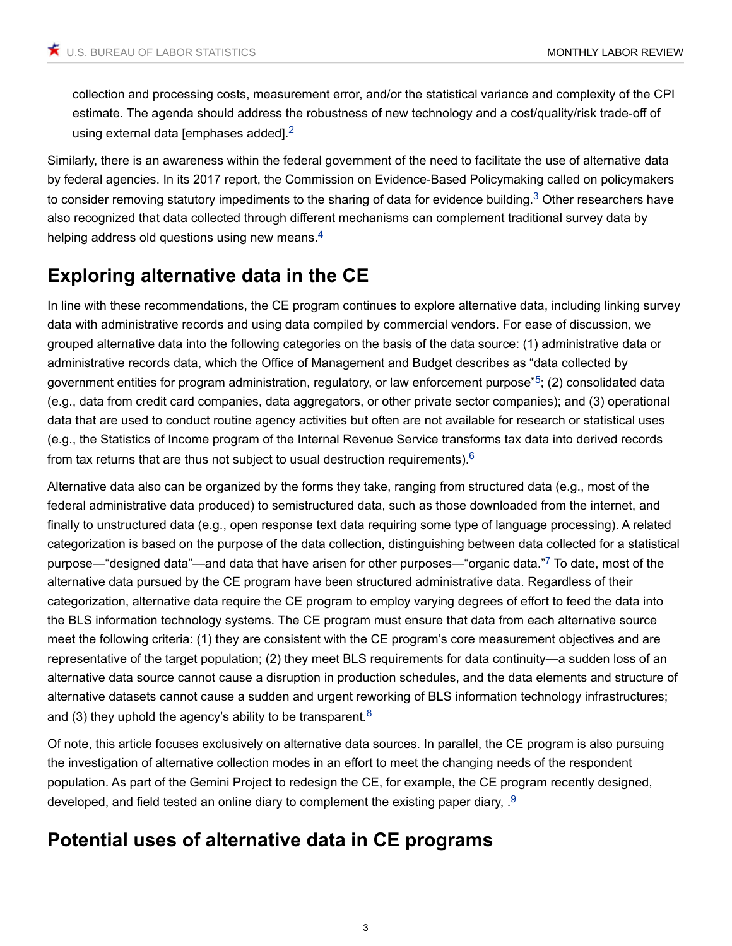<span id="page-2-0"></span>collection and processing costs, measurement error, and/or the statistical variance and complexity of the CPI estimate. The agenda should address the robustness of new technology and a cost/quality/risk trade-off of using external data [emphases added].<sup>[2](#page-8-1)</sup>

Similarly, there is an awareness within the federal government of the need to facilitate the use of alternative data by federal agencies. In its 2017 report, the Commission on Evidence-Based Policymaking called on policymakers to consider removing statutory impediments to the sharing of data for evidence building.<sup>[3](#page-8-2)</sup> Other researchers have also recognized that data collected through different mechanisms can complement traditional survey data by helping address old questions using new means.<sup>[4](#page-8-3)</sup>

# <span id="page-2-1"></span>**Exploring alternative data in the CE**

<span id="page-2-2"></span>In line with these recommendations, the CE program continues to explore alternative data, including linking survey data with administrative records and using data compiled by commercial vendors. For ease of discussion, we grouped alternative data into the following categories on the basis of the data source: (1) administrative data or administrative records data, which the Office of Management and Budget describes as "data collected by government entities for program administration, regulatory, or law enforcement purpose"[5](#page-8-4); (2) consolidated data (e.g., data from credit card companies, data aggregators, or other private sector companies); and (3) operational data that are used to conduct routine agency activities but often are not available for research or statistical uses (e.g., the Statistics of Income program of the Internal Revenue Service transforms tax data into derived records from tax returns that are thus not subject to usual destruction requirements). $6$ 

<span id="page-2-4"></span><span id="page-2-3"></span>Alternative data also can be organized by the forms they take, ranging from structured data (e.g., most of the federal administrative data produced) to semistructured data, such as those downloaded from the internet, and finally to unstructured data (e.g., open response text data requiring some type of language processing). A related categorization is based on the purpose of the data collection, distinguishing between data collected for a statistical purpose—"designed data"—and data that have arisen for other purposes—"organic data."[7](#page-8-6) To date, most of the alternative data pursued by the CE program have been structured administrative data. Regardless of their categorization, alternative data require the CE program to employ varying degrees of effort to feed the data into the BLS information technology systems. The CE program must ensure that data from each alternative source meet the following criteria: (1) they are consistent with the CE program's core measurement objectives and are representative of the target population; (2) they meet BLS requirements for data continuity—a sudden loss of an alternative data source cannot cause a disruption in production schedules, and the data elements and structure of alternative datasets cannot cause a sudden and urgent reworking of BLS information technology infrastructures; and (3) they uphold the agency's ability to be transparent*.* [8](#page-8-7)

<span id="page-2-5"></span>Of note, this article focuses exclusively on alternative data sources. In parallel, the CE program is also pursuing the investigation of alternative collection modes in an effort to meet the changing needs of the respondent population. As part of the Gemini Project to redesign the CE, for example, the CE program recently designed, developed, and field tested an online diary to complement the existing paper diary, .[9](#page-8-8)

# <span id="page-2-6"></span>**Potential uses of alternative data in CE programs**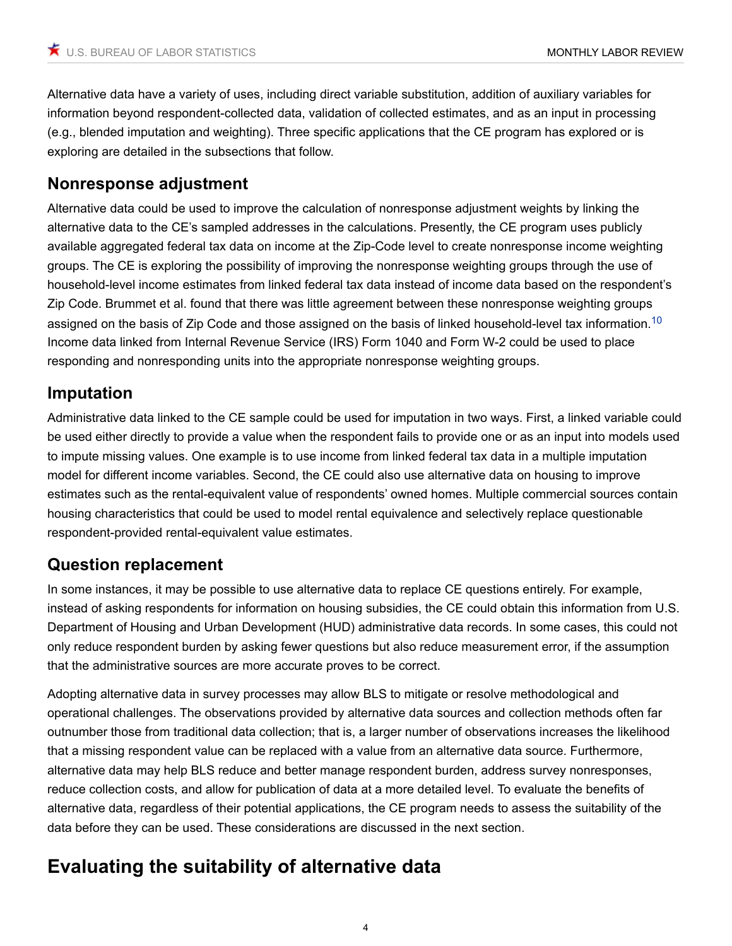Alternative data have a variety of uses, including direct variable substitution, addition of auxiliary variables for information beyond respondent-collected data, validation of collected estimates, and as an input in processing (e.g., blended imputation and weighting). Three specific applications that the CE program has explored or is exploring are detailed in the subsections that follow.

#### **Nonresponse adjustment**

Alternative data could be used to improve the calculation of nonresponse adjustment weights by linking the alternative data to the CE's sampled addresses in the calculations. Presently, the CE program uses publicly available aggregated federal tax data on income at the Zip-Code level to create nonresponse income weighting groups. The CE is exploring the possibility of improving the nonresponse weighting groups through the use of household-level income estimates from linked federal tax data instead of income data based on the respondent's Zip Code. Brummet et al. found that there was little agreement between these nonresponse weighting groups assigned on the basis of Zip Code and those assigned on the basis of linked household-level tax information.[10](#page-8-9) Income data linked from Internal Revenue Service (IRS) Form 1040 and Form W-2 could be used to place responding and nonresponding units into the appropriate nonresponse weighting groups.

### <span id="page-3-0"></span>**Imputation**

Administrative data linked to the CE sample could be used for imputation in two ways. First, a linked variable could be used either directly to provide a value when the respondent fails to provide one or as an input into models used to impute missing values. One example is to use income from linked federal tax data in a multiple imputation model for different income variables. Second, the CE could also use alternative data on housing to improve estimates such as the rental-equivalent value of respondents' owned homes. Multiple commercial sources contain housing characteristics that could be used to model rental equivalence and selectively replace questionable respondent-provided rental-equivalent value estimates.

#### **Question replacement**

In some instances, it may be possible to use alternative data to replace CE questions entirely. For example, instead of asking respondents for information on housing subsidies, the CE could obtain this information from U.S. Department of Housing and Urban Development (HUD) administrative data records. In some cases, this could not only reduce respondent burden by asking fewer questions but also reduce measurement error, if the assumption that the administrative sources are more accurate proves to be correct.

Adopting alternative data in survey processes may allow BLS to mitigate or resolve methodological and operational challenges. The observations provided by alternative data sources and collection methods often far outnumber those from traditional data collection; that is, a larger number of observations increases the likelihood that a missing respondent value can be replaced with a value from an alternative data source. Furthermore, alternative data may help BLS reduce and better manage respondent burden, address survey nonresponses, reduce collection costs, and allow for publication of data at a more detailed level. To evaluate the benefits of alternative data, regardless of their potential applications, the CE program needs to assess the suitability of the data before they can be used. These considerations are discussed in the next section.

# **Evaluating the suitability of alternative data**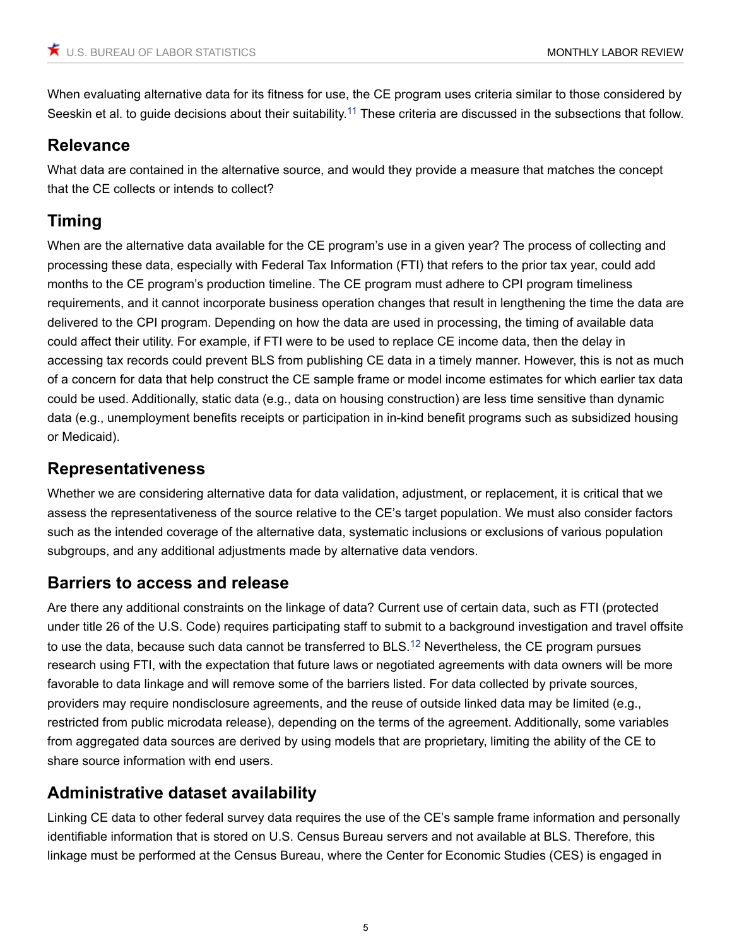<span id="page-4-0"></span>When evaluating alternative data for its fitness for use, the CE program uses criteria similar to those considered by Seeskin et al. to guide decisions about their suitability.<sup>[11](#page-8-10)</sup> These criteria are discussed in the subsections that follow.

### **Relevance**

What data are contained in the alternative source, and would they provide a measure that matches the concept that the CE collects or intends to collect?

# **Timing**

When are the alternative data available for the CE program's use in a given year? The process of collecting and processing these data, especially with Federal Tax Information (FTI) that refers to the prior tax year, could add months to the CE program's production timeline. The CE program must adhere to CPI program timeliness requirements, and it cannot incorporate business operation changes that result in lengthening the time the data are delivered to the CPI program. Depending on how the data are used in processing, the timing of available data could affect their utility. For example, if FTI were to be used to replace CE income data, then the delay in accessing tax records could prevent BLS from publishing CE data in a timely manner. However, this is not as much of a concern for data that help construct the CE sample frame or model income estimates for which earlier tax data could be used. Additionally, static data (e.g., data on housing construction) are less time sensitive than dynamic data (e.g., unemployment benefits receipts or participation in in-kind benefit programs such as subsidized housing or Medicaid).

## **Representativeness**

Whether we are considering alternative data for data validation, adjustment, or replacement, it is critical that we assess the representativeness of the source relative to the CE's target population. We must also consider factors such as the intended coverage of the alternative data, systematic inclusions or exclusions of various population subgroups, and any additional adjustments made by alternative data vendors.

# **Barriers to access and release**

<span id="page-4-1"></span>Are there any additional constraints on the linkage of data? Current use of certain data, such as FTI (protected under title 26 of the U.S. Code) requires participating staff to submit to a background investigation and travel offsite to use the data, because such data cannot be transferred to BLS.<sup>[12](#page-8-11)</sup> Nevertheless, the CE program pursues research using FTI, with the expectation that future laws or negotiated agreements with data owners will be more favorable to data linkage and will remove some of the barriers listed. For data collected by private sources, providers may require nondisclosure agreements, and the reuse of outside linked data may be limited (e.g., restricted from public microdata release), depending on the terms of the agreement. Additionally, some variables from aggregated data sources are derived by using models that are proprietary, limiting the ability of the CE to share source information with end users.

# **Administrative dataset availability**

Linking CE data to other federal survey data requires the use of the CE's sample frame information and personally identifiable information that is stored on U.S. Census Bureau servers and not available at BLS. Therefore, this linkage must be performed at the Census Bureau, where the Center for Economic Studies (CES) is engaged in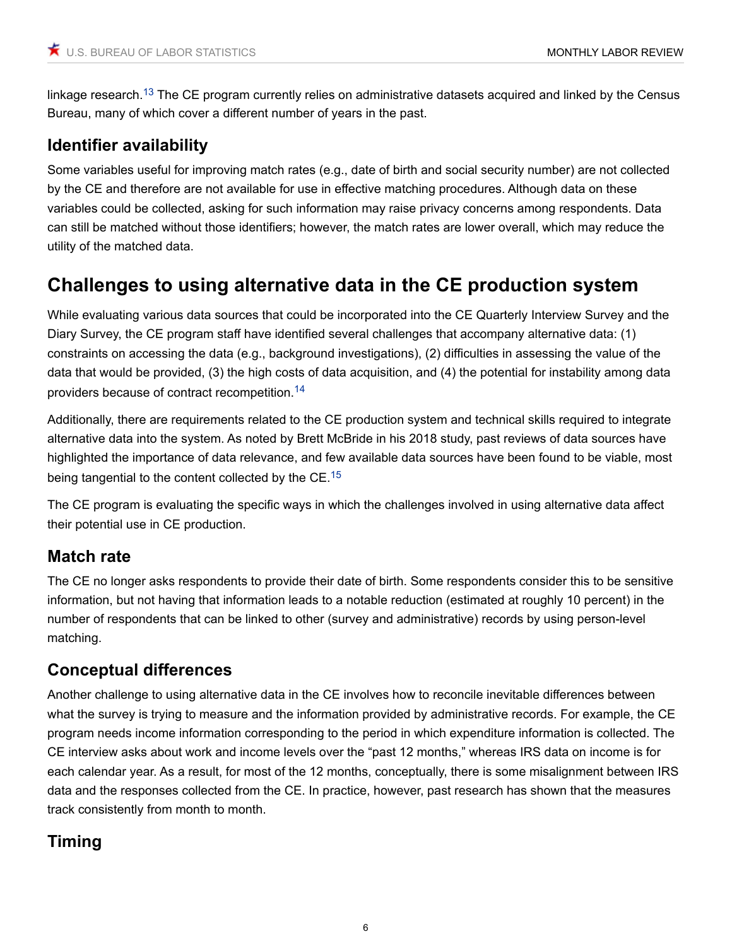<span id="page-5-0"></span>linkage research.<sup>[13](#page-9-0)</sup> The CE program currently relies on administrative datasets acquired and linked by the Census Bureau, many of which cover a different number of years in the past.

# **Identifier availability**

Some variables useful for improving match rates (e.g., date of birth and social security number) are not collected by the CE and therefore are not available for use in effective matching procedures. Although data on these variables could be collected, asking for such information may raise privacy concerns among respondents. Data can still be matched without those identifiers; however, the match rates are lower overall, which may reduce the utility of the matched data.

# **Challenges to using alternative data in the CE production system**

While evaluating various data sources that could be incorporated into the CE Quarterly Interview Survey and the Diary Survey, the CE program staff have identified several challenges that accompany alternative data: (1) constraints on accessing the data (e.g., background investigations), (2) difficulties in assessing the value of the data that would be provided, (3) the high costs of data acquisition, and (4) the potential for instability among data providers because of contract recompetition.[14](#page-9-1)

<span id="page-5-1"></span>Additionally, there are requirements related to the CE production system and technical skills required to integrate alternative data into the system. As noted by Brett McBride in his 2018 study, past reviews of data sources have highlighted the importance of data relevance, and few available data sources have been found to be viable, most being tangential to the content collected by the CE.<sup>[15](#page-9-2)</sup>

<span id="page-5-2"></span>The CE program is evaluating the specific ways in which the challenges involved in using alternative data affect their potential use in CE production.

# **Match rate**

The CE no longer asks respondents to provide their date of birth. Some respondents consider this to be sensitive information, but not having that information leads to a notable reduction (estimated at roughly 10 percent) in the number of respondents that can be linked to other (survey and administrative) records by using person-level matching.

# **Conceptual differences**

Another challenge to using alternative data in the CE involves how to reconcile inevitable differences between what the survey is trying to measure and the information provided by administrative records. For example, the CE program needs income information corresponding to the period in which expenditure information is collected. The CE interview asks about work and income levels over the "past 12 months," whereas IRS data on income is for each calendar year. As a result, for most of the 12 months, conceptually, there is some misalignment between IRS data and the responses collected from the CE. In practice, however, past research has shown that the measures track consistently from month to month.

# **Timing**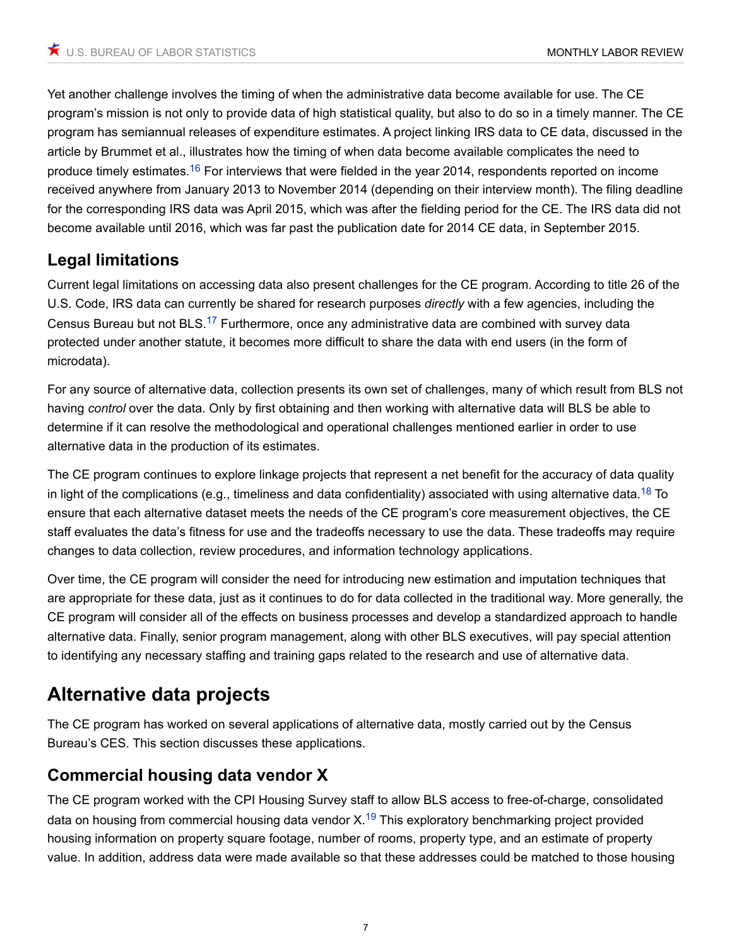<span id="page-6-0"></span>Yet another challenge involves the timing of when the administrative data become available for use. The CE program's mission is not only to provide data of high statistical quality, but also to do so in a timely manner. The CE program has semiannual releases of expenditure estimates. A project linking IRS data to CE data, discussed in the article by Brummet et al., illustrates how the timing of when data become available complicates the need to produce timely estimates.[16](#page-9-3) For interviews that were fielded in the year 2014, respondents reported on income received anywhere from January 2013 to November 2014 (depending on their interview month). The filing deadline for the corresponding IRS data was April 2015, which was after the fielding period for the CE. The IRS data did not become available until 2016, which was far past the publication date for 2014 CE data, in September 2015.

# **Legal limitations**

<span id="page-6-1"></span>Current legal limitations on accessing data also present challenges for the CE program. According to title 26 of the U.S. Code, IRS data can currently be shared for research purposes *directly* with a few agencies, including the Census Bureau but not BLS.[17](#page-9-4) Furthermore, once any administrative data are combined with survey data protected under another statute, it becomes more difficult to share the data with end users (in the form of microdata).

For any source of alternative data, collection presents its own set of challenges, many of which result from BLS not having *control* over the data. Only by first obtaining and then working with alternative data will BLS be able to determine if it can resolve the methodological and operational challenges mentioned earlier in order to use alternative data in the production of its estimates.

<span id="page-6-2"></span>The CE program continues to explore linkage projects that represent a net benefit for the accuracy of data quality in light of the complications (e.g., timeliness and data confidentiality) associated with using alternative data.<sup>[18](#page-9-5)</sup> To ensure that each alternative dataset meets the needs of the CE program's core measurement objectives, the CE staff evaluates the data's fitness for use and the tradeoffs necessary to use the data. These tradeoffs may require changes to data collection, review procedures, and information technology applications.

Over time, the CE program will consider the need for introducing new estimation and imputation techniques that are appropriate for these data, just as it continues to do for data collected in the traditional way. More generally, the CE program will consider all of the effects on business processes and develop a standardized approach to handle alternative data. Finally, senior program management, along with other BLS executives, will pay special attention to identifying any necessary staffing and training gaps related to the research and use of alternative data.

# **Alternative data projects**

The CE program has worked on several applications of alternative data, mostly carried out by the Census Bureau's CES. This section discusses these applications.

# **Commercial housing data vendor X**

<span id="page-6-3"></span>The CE program worked with the CPI Housing Survey staff to allow BLS access to free-of-charge, consolidated data on housing from commercial housing data vendor  $X<sup>19</sup>$  $X<sup>19</sup>$  $X<sup>19</sup>$  This exploratory benchmarking project provided housing information on property square footage, number of rooms, property type, and an estimate of property value. In addition, address data were made available so that these addresses could be matched to those housing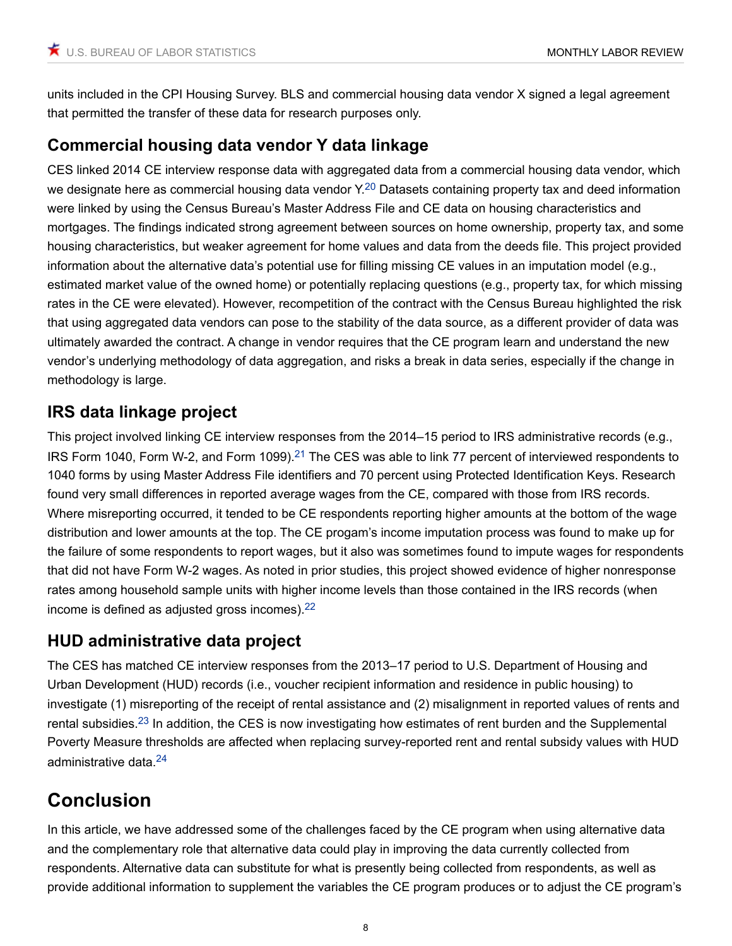units included in the CPI Housing Survey. BLS and commercial housing data vendor X signed a legal agreement that permitted the transfer of these data for research purposes only.

# **Commercial housing data vendor Y data linkage**

<span id="page-7-0"></span>CES linked 2014 CE interview response data with aggregated data from a commercial housing data vendor, which we designate here as commercial housing data vendor Y.<sup>[20](#page-9-7)</sup> Datasets containing property tax and deed information were linked by using the Census Bureau's Master Address File and CE data on housing characteristics and mortgages. The findings indicated strong agreement between sources on home ownership, property tax, and some housing characteristics, but weaker agreement for home values and data from the deeds file. This project provided information about the alternative data's potential use for filling missing CE values in an imputation model (e.g., estimated market value of the owned home) or potentially replacing questions (e.g., property tax, for which missing rates in the CE were elevated). However, recompetition of the contract with the Census Bureau highlighted the risk that using aggregated data vendors can pose to the stability of the data source, as a different provider of data was ultimately awarded the contract. A change in vendor requires that the CE program learn and understand the new vendor's underlying methodology of data aggregation, and risks a break in data series, especially if the change in methodology is large.

# **IRS data linkage project**

<span id="page-7-1"></span>This project involved linking CE interview responses from the 2014–15 period to IRS administrative records (e.g., IRS Form 1040, Form W-2, and Form 1099).<sup>[21](#page-9-8)</sup> The CES was able to link 77 percent of interviewed respondents to 1040 forms by using Master Address File identifiers and 70 percent using Protected Identification Keys. Research found very small differences in reported average wages from the CE, compared with those from IRS records. Where misreporting occurred, it tended to be CE respondents reporting higher amounts at the bottom of the wage distribution and lower amounts at the top. The CE progam's income imputation process was found to make up for the failure of some respondents to report wages, but it also was sometimes found to impute wages for respondents that did not have Form W-2 wages. As noted in prior studies, this project showed evidence of higher nonresponse rates among household sample units with higher income levels than those contained in the IRS records (when income is defined as adjusted gross incomes). $22$ 

# <span id="page-7-2"></span>**HUD administrative data project**

<span id="page-7-3"></span>The CES has matched CE interview responses from the 2013–17 period to U.S. Department of Housing and Urban Development (HUD) records (i.e., voucher recipient information and residence in public housing) to investigate (1) misreporting of the receipt of rental assistance and (2) misalignment in reported values of rents and rental subsidies.[23](#page-9-10) In addition, the CES is now investigating how estimates of rent burden and the Supplemental Poverty Measure thresholds are affected when replacing survey-reported rent and rental subsidy values with HUD administrative data.<sup>[24](#page-9-11)</sup>

# <span id="page-7-4"></span>**Conclusion**

In this article, we have addressed some of the challenges faced by the CE program when using alternative data and the complementary role that alternative data could play in improving the data currently collected from respondents. Alternative data can substitute for what is presently being collected from respondents, as well as provide additional information to supplement the variables the CE program produces or to adjust the CE program's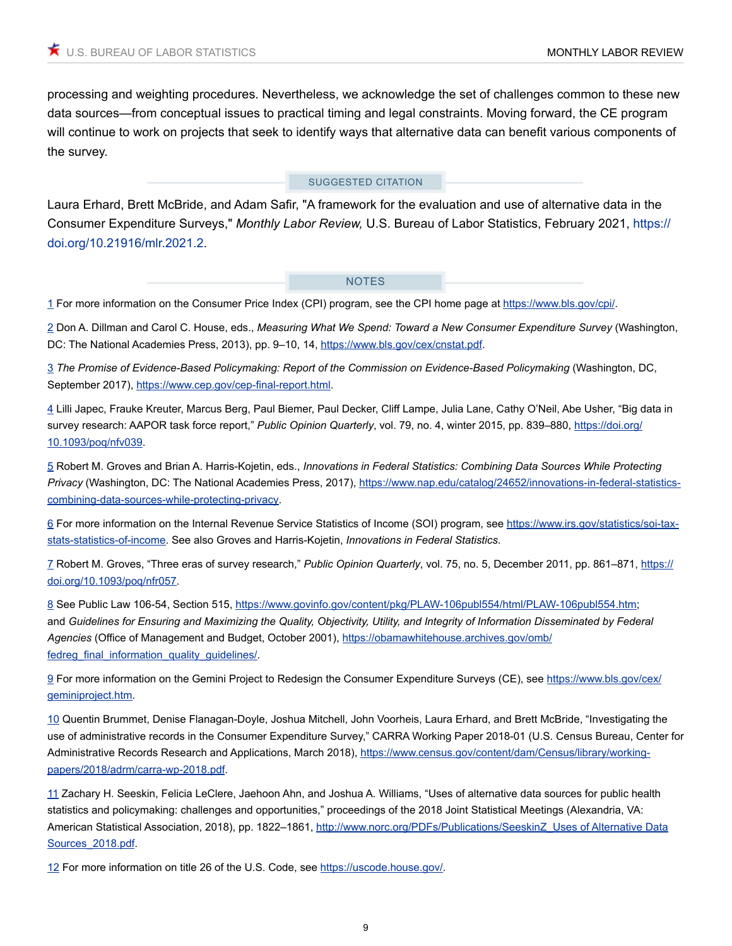processing and weighting procedures. Nevertheless, we acknowledge the set of challenges common to these new data sources—from conceptual issues to practical timing and legal constraints. Moving forward, the CE program will continue to work on projects that seek to identify ways that alternative data can benefit various components of the survey.

#### SUGGESTED CITATION

Laura Erhard, Brett McBride, and Adam Safir, "A framework for the evaluation and use of alternative data in the Consumer Expenditure Surveys," *Monthly Labor Review,* U.S. Bureau of Labor Statistics, February 2021, [https://](https://doi.org/10.21916/mlr.2021.2) [doi.org/10.21916/mlr.2021.2](https://doi.org/10.21916/mlr.2021.2).

#### **NOTES**

<span id="page-8-0"></span>[1](#page-1-0) For more information on the Consumer Price Index (CPI) program, see the CPI home page at [https://www.bls.gov/cpi/.](https://www.bls.gov/cpi/)

<span id="page-8-1"></span>2 Don A. Dillman and Carol C. House, eds., *Measuring What We Spend: Toward a New Consumer Expenditure Survey* (Washington, DC: The National Academies Press, 2013), pp. 9-10, 14, <https://www.bls.gov/cex/cnstat.pdf>.

<span id="page-8-2"></span>[3](#page-2-0) *The Promise of Evidence-Based Policymaking: Report of the Commission on Evidence-Based Policymaking* (Washington, DC, September 2017), [https://www.cep.gov/cep-final-report.html.](https://www.cep.gov/cep-final-report.html)

<span id="page-8-3"></span>[4](#page-2-1) Lilli Japec, Frauke Kreuter, Marcus Berg, Paul Biemer, Paul Decker, Cliff Lampe, Julia Lane, Cathy O'Neil, Abe Usher, "Big data in survey research: AAPOR task force report," *Public Opinion Quarterly*, vol. 79, no. 4, winter 2015, pp. 839–880, [https://doi.org/](https://doi.org/10.1093/poq/nfv039) [10.1093/poq/nfv039](https://doi.org/10.1093/poq/nfv039).

<span id="page-8-4"></span>[5](#page-2-2) Robert M. Groves and Brian A. Harris-Kojetin, eds., *Innovations in Federal Statistics: Combining Data Sources While Protecting Privacy* (Washington, DC: The National Academies Press, 2017), [https://www.nap.edu/catalog/24652/innovations-in-federal-statistics](https://www.nap.edu/catalog/24652/innovations-in-federal-statistics-combining-data-sources-while-protecting-privacy)[combining-data-sources-while-protecting-privacy](https://www.nap.edu/catalog/24652/innovations-in-federal-statistics-combining-data-sources-while-protecting-privacy).

<span id="page-8-5"></span>[6](#page-2-3) For more information on the Internal Revenue Service Statistics of Income (SOI) program, see [https://www.irs.gov/statistics/soi-tax](https://www.irs.gov/statistics/soi-tax-stats-statistics-of-income)[stats-statistics-of-income](https://www.irs.gov/statistics/soi-tax-stats-statistics-of-income). See also Groves and Harris-Kojetin, *Innovations in Federal Statistics*.

<span id="page-8-6"></span>[7](#page-2-4) Robert M. Groves, "Three eras of survey research," *Public Opinion Quarterly*, vol. 75, no. 5, December 2011, pp. 861–871, [https://](https://doi.org/10.1093/poq/nfr057) [doi.org/10.1093/poq/nfr057.](https://doi.org/10.1093/poq/nfr057)

<span id="page-8-7"></span>[8](#page-2-5) See Public Law 106-54, Section 515, [https://www.govinfo.gov/content/pkg/PLAW-106publ554/html/PLAW-106publ554.htm;](https://www.govinfo.gov/content/pkg/PLAW-106publ554/html/PLAW-106publ554.htm) and *Guidelines for Ensuring and Maximizing the Quality, Objectivity, Utility, and Integrity of Information Disseminated by Federal Agencies* (Office of Management and Budget, October 2001), [https://obamawhitehouse.archives.gov/omb/](https://obamawhitehouse.archives.gov/omb/fedreg_final_information_quality_guidelines/) fedreg\_final\_information\_quality\_quidelines/.

<span id="page-8-8"></span>[9](#page-2-6) For more information on the Gemini Project to Redesign the Consumer Expenditure Surveys (CE), see [https://www.bls.gov/cex/](https://www.bls.gov/cex/geminiproject.htm) [geminiproject.htm.](https://www.bls.gov/cex/geminiproject.htm)

<span id="page-8-9"></span>[10](#page-3-0) Quentin Brummet, Denise Flanagan-Doyle, Joshua Mitchell, John Voorheis, Laura Erhard, and Brett McBride, "Investigating the use of administrative records in the Consumer Expenditure Survey," CARRA Working Paper 2018-01 (U.S. Census Bureau, Center for Administrative Records Research and Applications, March 2018), [https://www.census.gov/content/dam/Census/library/working](https://www.census.gov/content/dam/Census/library/working-papers/2018/adrm/carra-wp-2018.pdf)[papers/2018/adrm/carra-wp-2018.pdf](https://www.census.gov/content/dam/Census/library/working-papers/2018/adrm/carra-wp-2018.pdf).

<span id="page-8-10"></span>[11](#page-4-0) Zachary H. Seeskin, Felicia LeClere, Jaehoon Ahn, and Joshua A. Williams, "Uses of alternative data sources for public health statistics and policymaking: challenges and opportunities," proceedings of the 2018 Joint Statistical Meetings (Alexandria, VA: American Statistical Association, 2018), pp. 1822-1861, [http://www.norc.org/PDFs/Publications/SeeskinZ\\_Uses of Alternative Data](http://www.norc.org/PDFs/Publications/SeeskinZ_Uses%20of%20Alternative%20Data%20Sources_2018.pdf) [Sources\\_2018.pdf.](http://www.norc.org/PDFs/Publications/SeeskinZ_Uses%20of%20Alternative%20Data%20Sources_2018.pdf)

<span id="page-8-11"></span>[12](#page-4-1) For more information on title 26 of the U.S. Code, see [https://uscode.house.gov/.](https://uscode.house.gov/)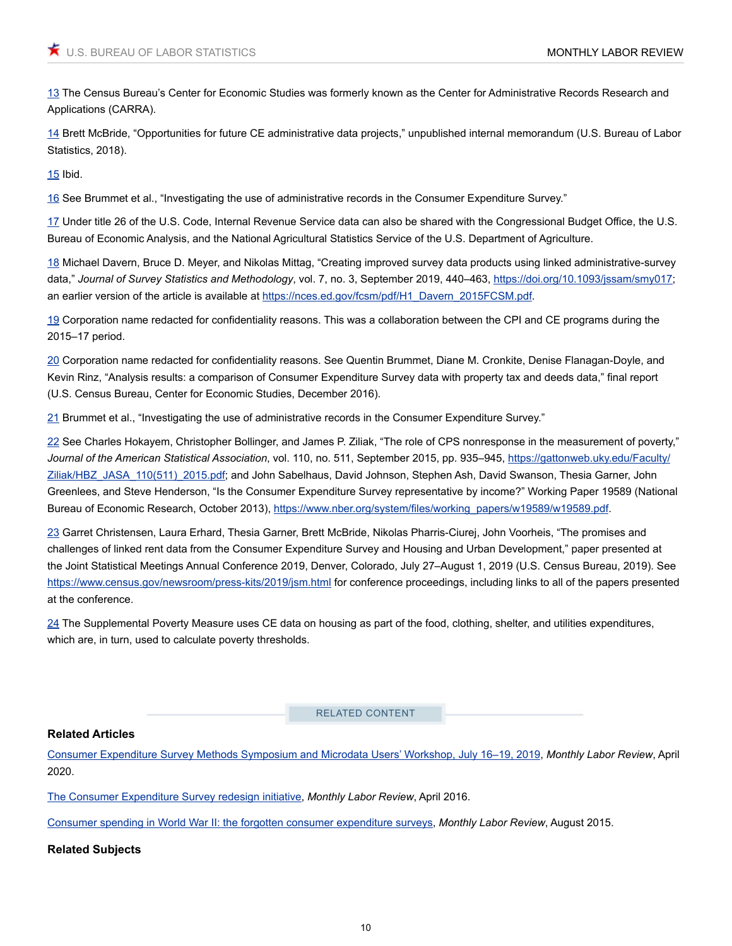<span id="page-9-0"></span>[13](#page-5-0) The Census Bureau's Center for Economic Studies was formerly known as the Center for Administrative Records Research and Applications (CARRA).

<span id="page-9-1"></span>[14](#page-5-1) Brett McBride, "Opportunities for future CE administrative data projects," unpublished internal memorandum (U.S. Bureau of Labor Statistics, 2018).

<span id="page-9-2"></span>[15](#page-5-2) Ibid.

<span id="page-9-3"></span>[16](#page-6-0) See Brummet et al., "Investigating the use of administrative records in the Consumer Expenditure Survey."

<span id="page-9-4"></span>[17](#page-6-1) Under title 26 of the U.S. Code, Internal Revenue Service data can also be shared with the Congressional Budget Office, the U.S. Bureau of Economic Analysis, and the National Agricultural Statistics Service of the U.S. Department of Agriculture.

<span id="page-9-5"></span>[18](#page-6-2) Michael Davern, Bruce D. Meyer, and Nikolas Mittag, "Creating improved survey data products using linked administrative-survey data," *Journal of Survey Statistics and Methodology*, vol. 7, no. 3, September 2019, 440–463, [https://doi.org/10.1093/jssam/smy017;](https://doi.org/10.1093/jssam/smy017) an earlier version of the article is available at [https://nces.ed.gov/fcsm/pdf/H1\\_Davern\\_2015FCSM.pdf](https://nces.ed.gov/fcsm/pdf/H1_Davern_2015FCSM.pdf).

<span id="page-9-6"></span>[19](#page-6-3) Corporation name redacted for confidentiality reasons. This was a collaboration between the CPI and CE programs during the 2015–17 period.

<span id="page-9-7"></span>[20](#page-7-0) Corporation name redacted for confidentiality reasons. See Quentin Brummet, Diane M. Cronkite, Denise Flanagan-Doyle, and Kevin Rinz, "Analysis results: a comparison of Consumer Expenditure Survey data with property tax and deeds data," final report (U.S. Census Bureau, Center for Economic Studies, December 2016).

<span id="page-9-8"></span>[21](#page-7-1) Brummet et al., "Investigating the use of administrative records in the Consumer Expenditure Survey."

<span id="page-9-9"></span>[22](#page-7-2) See Charles Hokayem, Christopher Bollinger, and James P. Ziliak, "The role of CPS nonresponse in the measurement of poverty," *Journal of the American Statistical Association*, vol. 110, no. 511, September 2015, pp. 935–945, [https://gattonweb.uky.edu/Faculty/](https://gattonweb.uky.edu/Faculty/Ziliak/HBZ_JASA_110(511)_2015.pdf) [Ziliak/HBZ\\_JASA\\_110\(511\)\\_2015.pdf](https://gattonweb.uky.edu/Faculty/Ziliak/HBZ_JASA_110(511)_2015.pdf); and John Sabelhaus, David Johnson, Stephen Ash, David Swanson, Thesia Garner, John Greenlees, and Steve Henderson, "Is the Consumer Expenditure Survey representative by income?" Working Paper 19589 (National Bureau of Economic Research, October 2013), [https://www.nber.org/system/files/working\\_papers/w19589/w19589.pdf](https://www.nber.org/system/files/working_papers/w19589/w19589.pdf).

<span id="page-9-10"></span>[23](#page-7-3) Garret Christensen, Laura Erhard, Thesia Garner, Brett McBride, Nikolas Pharris-Ciurej, John Voorheis, "The promises and challenges of linked rent data from the Consumer Expenditure Survey and Housing and Urban Development," paper presented at the Joint Statistical Meetings Annual Conference 2019, Denver, Colorado, July 27–August 1, 2019 (U.S. Census Bureau, 2019). See <https://www.census.gov/newsroom/press-kits/2019/jsm.html> for conference proceedings, including links to all of the papers presented at the conference.

<span id="page-9-11"></span>[24](#page-7-4) The Supplemental Poverty Measure uses CE data on housing as part of the food, clothing, shelter, and utilities expenditures, which are, in turn, used to calculate poverty thresholds.

RELATED CONTENT

#### **Related Articles**

[Consumer Expenditure Survey Methods Symposium and Microdata Users' Workshop, July 16–19, 2019](https://www.bls.gov/opub/mlr/2020/article/consumer-expenditure-survey-methods-symposium-and-microdata-users-workshop-2019.htm), *Monthly Labor Review*, April 2020.

[The Consumer Expenditure Survey redesign initiative](https://www.bls.gov/opub/mlr/2016/article/the-consumer-expenditure-survey-redesign-initiative.htm), *Monthly Labor Review*, April 2016.

[Consumer spending in World War II: the forgotten consumer expenditure surveys](https://www.bls.gov/opub/mlr/2015/article/consumer-spending-in-world-war-ii-the-forgotten-consumer-expenditure-surveys.htm), *Monthly Labor Review*, August 2015.

**Related Subjects**